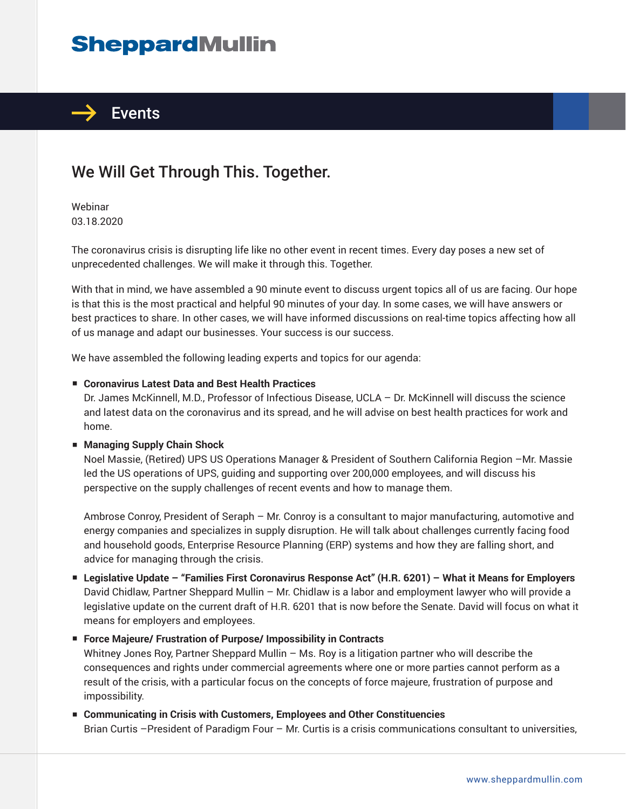# **SheppardMullin**



## We Will Get Through This. Together.

Webinar 03.18.2020

The coronavirus crisis is disrupting life like no other event in recent times. Every day poses a new set of unprecedented challenges. We will make it through this. Together.

With that in mind, we have assembled a 90 minute event to discuss urgent topics all of us are facing. Our hope is that this is the most practical and helpful 90 minutes of your day. In some cases, we will have answers or best practices to share. In other cases, we will have informed discussions on real-time topics affecting how all of us manage and adapt our businesses. Your success is our success.

We have assembled the following leading experts and topics for our agenda:

#### ■ **Coronavirus Latest Data and Best Health Practices**

Dr. James McKinnell, M.D., Professor of Infectious Disease, UCLA – Dr. McKinnell will discuss the science and latest data on the coronavirus and its spread, and he will advise on best health practices for work and home.

#### ■ **Managing Supply Chain Shock**

Noel Massie, (Retired) UPS US Operations Manager & President of Southern California Region –Mr. Massie led the US operations of UPS, guiding and supporting over 200,000 employees, and will discuss his perspective on the supply challenges of recent events and how to manage them.

Ambrose Conroy, President of Seraph – Mr. Conroy is a consultant to major manufacturing, automotive and energy companies and specializes in supply disruption. He will talk about challenges currently facing food and household goods, Enterprise Resource Planning (ERP) systems and how they are falling short, and advice for managing through the crisis.

■ **Legislative Update – "Families First Coronavirus Response Act" (H.R. 6201) – What it Means for Employers** David Chidlaw, Partner Sheppard Mullin – Mr. Chidlaw is a labor and employment lawyer who will provide a legislative update on the current draft of H.R. 6201 that is now before the Senate. David will focus on what it means for employers and employees.

■ **Force Majeure/ Frustration of Purpose/ Impossibility in Contracts** 

Whitney Jones Roy, Partner Sheppard Mullin – Ms. Roy is a litigation partner who will describe the consequences and rights under commercial agreements where one or more parties cannot perform as a result of the crisis, with a particular focus on the concepts of force majeure, frustration of purpose and impossibility.

■ **Communicating in Crisis with Customers, Employees and Other Constituencies** Brian Curtis –President of Paradigm Four – Mr. Curtis is a crisis communications consultant to universities,